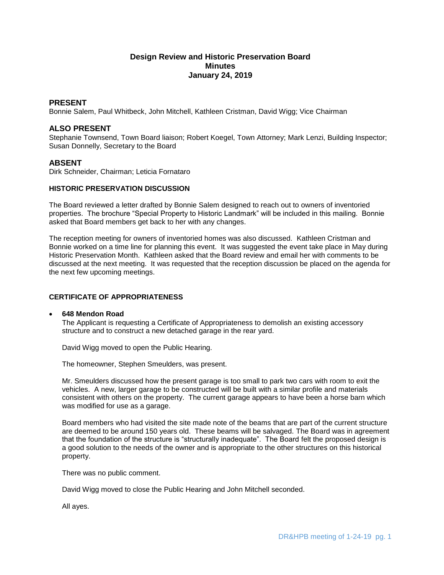# **Design Review and Historic Preservation Board Minutes January 24, 2019**

## **PRESENT**

Bonnie Salem, Paul Whitbeck, John Mitchell, Kathleen Cristman, David Wigg; Vice Chairman

## **ALSO PRESENT**

Stephanie Townsend, Town Board liaison; Robert Koegel, Town Attorney; Mark Lenzi, Building Inspector; Susan Donnelly, Secretary to the Board

## **ABSENT**

Dirk Schneider, Chairman; Leticia Fornataro

## **HISTORIC PRESERVATION DISCUSSION**

The Board reviewed a letter drafted by Bonnie Salem designed to reach out to owners of inventoried properties. The brochure "Special Property to Historic Landmark" will be included in this mailing. Bonnie asked that Board members get back to her with any changes.

The reception meeting for owners of inventoried homes was also discussed. Kathleen Cristman and Bonnie worked on a time line for planning this event. It was suggested the event take place in May during Historic Preservation Month. Kathleen asked that the Board review and email her with comments to be discussed at the next meeting. It was requested that the reception discussion be placed on the agenda for the next few upcoming meetings.

### **CERTIFICATE OF APPROPRIATENESS**

**648 Mendon Road**

The Applicant is requesting a Certificate of Appropriateness to demolish an existing accessory structure and to construct a new detached garage in the rear yard.

David Wigg moved to open the Public Hearing.

The homeowner, Stephen Smeulders, was present.

Mr. Smeulders discussed how the present garage is too small to park two cars with room to exit the vehicles. A new, larger garage to be constructed will be built with a similar profile and materials consistent with others on the property. The current garage appears to have been a horse barn which was modified for use as a garage.

Board members who had visited the site made note of the beams that are part of the current structure are deemed to be around 150 years old. These beams will be salvaged. The Board was in agreement that the foundation of the structure is "structurally inadequate". The Board felt the proposed design is a good solution to the needs of the owner and is appropriate to the other structures on this historical property.

There was no public comment.

David Wigg moved to close the Public Hearing and John Mitchell seconded.

All ayes.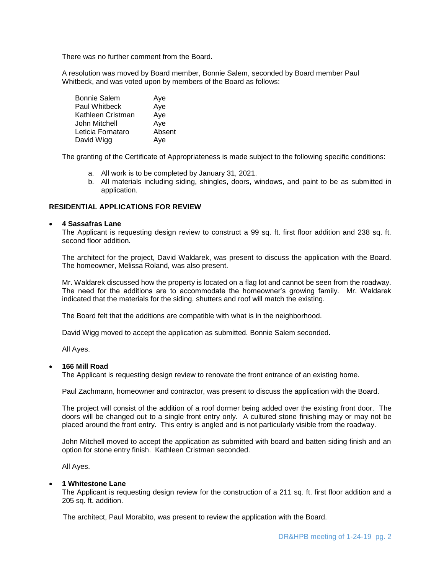There was no further comment from the Board.

A resolution was moved by Board member, Bonnie Salem, seconded by Board member Paul Whitbeck, and was voted upon by members of the Board as follows:

| <b>Bonnie Salem</b>  | Aye    |
|----------------------|--------|
| <b>Paul Whitbeck</b> | Aye    |
| Kathleen Cristman    | Aye    |
| John Mitchell        | Aye    |
| Leticia Fornataro    | Absent |
| David Wigg           | Aye    |

The granting of the Certificate of Appropriateness is made subject to the following specific conditions:

- a. All work is to be completed by January 31, 2021.
- b. All materials including siding, shingles, doors, windows, and paint to be as submitted in application.

### **RESIDENTIAL APPLICATIONS FOR REVIEW**

#### **4 Sassafras Lane**

The Applicant is requesting design review to construct a 99 sq. ft. first floor addition and 238 sq. ft. second floor addition.

The architect for the project, David Waldarek, was present to discuss the application with the Board. The homeowner, Melissa Roland, was also present.

Mr. Waldarek discussed how the property is located on a flag lot and cannot be seen from the roadway. The need for the additions are to accommodate the homeowner's growing family. Mr. Waldarek indicated that the materials for the siding, shutters and roof will match the existing.

The Board felt that the additions are compatible with what is in the neighborhood.

David Wigg moved to accept the application as submitted. Bonnie Salem seconded.

All Ayes.

### **166 Mill Road**

The Applicant is requesting design review to renovate the front entrance of an existing home.

Paul Zachmann, homeowner and contractor, was present to discuss the application with the Board.

The project will consist of the addition of a roof dormer being added over the existing front door. The doors will be changed out to a single front entry only. A cultured stone finishing may or may not be placed around the front entry. This entry is angled and is not particularly visible from the roadway.

John Mitchell moved to accept the application as submitted with board and batten siding finish and an option for stone entry finish. Kathleen Cristman seconded.

All Ayes.

#### **1 Whitestone Lane**

The Applicant is requesting design review for the construction of a 211 sq. ft. first floor addition and a 205 sq. ft. addition.

The architect, Paul Morabito, was present to review the application with the Board.